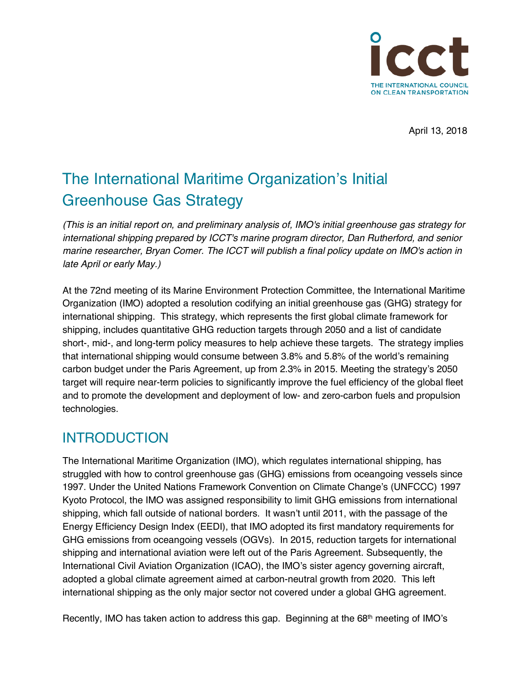

April 13, 2018

# The International Maritime Organization's Initial Greenhouse Gas Strategy

*(This is an initial report on, and preliminary analysis of, IMO's initial greenhouse gas strategy for international shipping prepared by ICCT's marine program director, Dan Rutherford, and senior marine researcher, Bryan Comer. The ICCT will publish a final policy update on IMO's action in late April or early May.)*

At the 72nd meeting of its Marine Environment Protection Committee, the International Maritime Organization (IMO) adopted a resolution codifying an initial greenhouse gas (GHG) strategy for international shipping. This strategy, which represents the first global climate framework for shipping, includes quantitative GHG reduction targets through 2050 and a list of candidate short-, mid-, and long-term policy measures to help achieve these targets. The strategy implies that international shipping would consume between 3.8% and 5.8% of the world's remaining carbon budget under the Paris Agreement, up from 2.3% in 2015. Meeting the strategy's 2050 target will require near-term policies to significantly improve the fuel efficiency of the global fleet and to promote the development and deployment of low- and zero-carbon fuels and propulsion technologies.

### INTRODUCTION

The International Maritime Organization (IMO), which regulates international shipping, has struggled with how to control greenhouse gas (GHG) emissions from oceangoing vessels since 1997. Under the United Nations Framework Convention on Climate Change's (UNFCCC) 1997 Kyoto Protocol, the IMO was assigned responsibility to limit GHG emissions from international shipping, which fall outside of national borders. It wasn't until 2011, with the passage of the Energy Efficiency Design Index (EEDI), that IMO adopted its first mandatory requirements for GHG emissions from oceangoing vessels (OGVs). In 2015, reduction targets for international shipping and international aviation were left out of the Paris Agreement. Subsequently, the International Civil Aviation Organization (ICAO), the IMO's sister agency governing aircraft, adopted a global climate agreement aimed at carbon-neutral growth from 2020. This left international shipping as the only major sector not covered under a global GHG agreement.

Recently, IMO has taken action to address this gap. Beginning at the 68<sup>th</sup> meeting of IMO's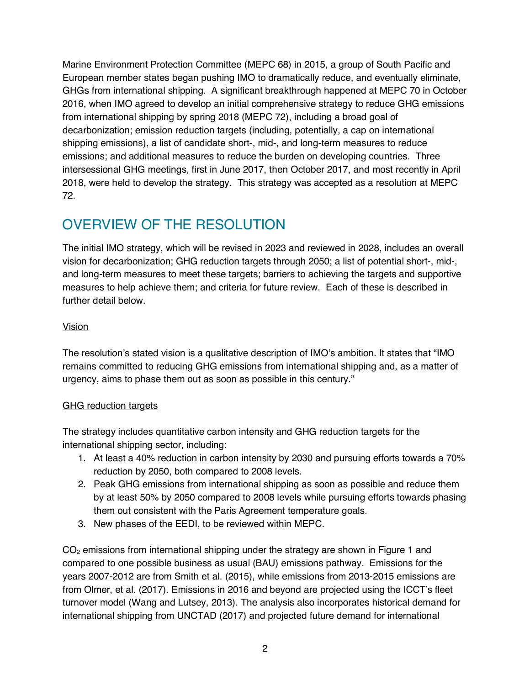Marine Environment Protection Committee (MEPC 68) in 2015, a group of South Pacific and European member states began pushing IMO to dramatically reduce, and eventually eliminate, GHGs from international shipping. A significant breakthrough happened at MEPC 70 in October 2016, when IMO agreed to develop an initial comprehensive strategy to reduce GHG emissions from international shipping by spring 2018 (MEPC 72), including a broad goal of decarbonization; emission reduction targets (including, potentially, a cap on international shipping emissions), a list of candidate short-, mid-, and long-term measures to reduce emissions; and additional measures to reduce the burden on developing countries. Three intersessional GHG meetings, first in June 2017, then October 2017, and most recently in April 2018, were held to develop the strategy. This strategy was accepted as a resolution at MEPC 72.

# OVERVIEW OF THE RESOLUTION

The initial IMO strategy, which will be revised in 2023 and reviewed in 2028, includes an overall vision for decarbonization; GHG reduction targets through 2050; a list of potential short-, mid-, and long-term measures to meet these targets; barriers to achieving the targets and supportive measures to help achieve them; and criteria for future review. Each of these is described in further detail below.

#### **Vision**

The resolution's stated vision is a qualitative description of IMO's ambition. It states that "IMO remains committed to reducing GHG emissions from international shipping and, as a matter of urgency, aims to phase them out as soon as possible in this century."

#### GHG reduction targets

The strategy includes quantitative carbon intensity and GHG reduction targets for the international shipping sector, including:

- 1. At least a 40% reduction in carbon intensity by 2030 and pursuing efforts towards a 70% reduction by 2050, both compared to 2008 levels.
- 2. Peak GHG emissions from international shipping as soon as possible and reduce them by at least 50% by 2050 compared to 2008 levels while pursuing efforts towards phasing them out consistent with the Paris Agreement temperature goals.
- 3. New phases of the EEDI, to be reviewed within MEPC.

 $CO<sub>2</sub>$  emissions from international shipping under the strategy are shown in Figure 1 and compared to one possible business as usual (BAU) emissions pathway. Emissions for the years 2007-2012 are from Smith et al. (2015), while emissions from 2013-2015 emissions are from Olmer, et al. (2017). Emissions in 2016 and beyond are projected using the ICCT's fleet turnover model (Wang and Lutsey, 2013). The analysis also incorporates historical demand for international shipping from UNCTAD (2017) and projected future demand for international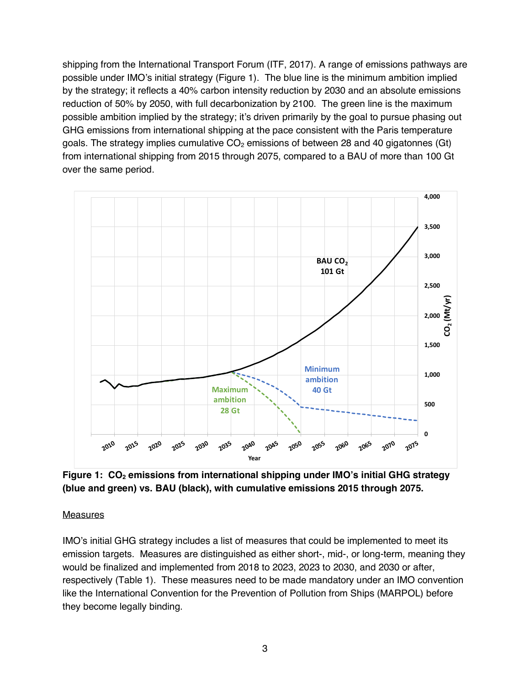shipping from the International Transport Forum (ITF, 2017). A range of emissions pathways are possible under IMO's initial strategy (Figure 1). The blue line is the minimum ambition implied by the strategy; it reflects a 40% carbon intensity reduction by 2030 and an absolute emissions reduction of 50% by 2050, with full decarbonization by 2100. The green line is the maximum possible ambition implied by the strategy; it's driven primarily by the goal to pursue phasing out GHG emissions from international shipping at the pace consistent with the Paris temperature goals. The strategy implies cumulative  $CO<sub>2</sub>$  emissions of between 28 and 40 gigatonnes (Gt) from international shipping from 2015 through 2075, compared to a BAU of more than 100 Gt over the same period.



**Figure 1: CO<sub>2</sub> emissions from international shipping under IMO's initial GHG strategy (blue and green) vs. BAU (black), with cumulative emissions 2015 through 2075.**

#### Measures

IMO's initial GHG strategy includes a list of measures that could be implemented to meet its emission targets. Measures are distinguished as either short-, mid-, or long-term, meaning they would be finalized and implemented from 2018 to 2023, 2023 to 2030, and 2030 or after, respectively (Table 1). These measures need to be made mandatory under an IMO convention like the International Convention for the Prevention of Pollution from Ships (MARPOL) before they become legally binding.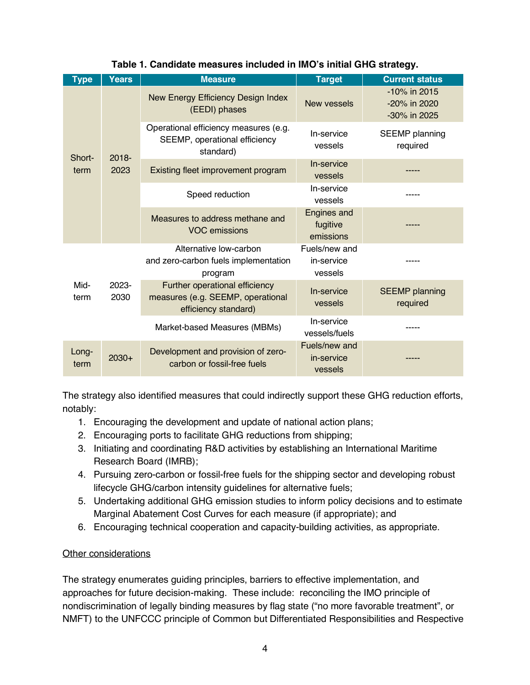| <b>Type</b>    | <b>Years</b>     | <b>Measure</b>                                                                              | <b>Target</b>                               | <b>Current status</b>                        |
|----------------|------------------|---------------------------------------------------------------------------------------------|---------------------------------------------|----------------------------------------------|
| Short-<br>term | $2018 -$<br>2023 | New Energy Efficiency Design Index<br>(EEDI) phases                                         | New vessels                                 | -10% in 2015<br>-20% in 2020<br>-30% in 2025 |
|                |                  | Operational efficiency measures (e.g.<br>SEEMP, operational efficiency<br>standard)         | In-service<br>vessels                       | <b>SEEMP</b> planning<br>required            |
|                |                  | Existing fleet improvement program                                                          | In-service<br>vessels                       |                                              |
|                |                  | Speed reduction                                                                             | In-service<br>vessels                       |                                              |
|                |                  | Measures to address methane and<br><b>VOC emissions</b>                                     | <b>Engines and</b><br>fugitive<br>emissions |                                              |
| Mid-<br>term   | 2023-<br>2030    | Alternative low-carbon<br>and zero-carbon fuels implementation<br>program                   | Fuels/new and<br>in-service<br>vessels      |                                              |
|                |                  | Further operational efficiency<br>measures (e.g. SEEMP, operational<br>efficiency standard) | In-service<br>vessels                       | <b>SEEMP</b> planning<br>required            |
|                |                  | Market-based Measures (MBMs)                                                                | In-service<br>vessels/fuels                 |                                              |
| Long-<br>term  | $2030+$          | Development and provision of zero-<br>carbon or fossil-free fuels                           | Fuels/new and<br>in-service<br>vessels      |                                              |

### **Table 1. Candidate measures included in IMO's initial GHG strategy.**

The strategy also identified measures that could indirectly support these GHG reduction efforts, notably:

- 1. Encouraging the development and update of national action plans;
- 2. Encouraging ports to facilitate GHG reductions from shipping;
- 3. Initiating and coordinating R&D activities by establishing an International Maritime Research Board (IMRB);
- 4. Pursuing zero-carbon or fossil-free fuels for the shipping sector and developing robust lifecycle GHG/carbon intensity guidelines for alternative fuels;
- 5. Undertaking additional GHG emission studies to inform policy decisions and to estimate Marginal Abatement Cost Curves for each measure (if appropriate); and
- 6. Encouraging technical cooperation and capacity-building activities, as appropriate.

### Other considerations

The strategy enumerates guiding principles, barriers to effective implementation, and approaches for future decision-making. These include: reconciling the IMO principle of nondiscrimination of legally binding measures by flag state ("no more favorable treatment", or NMFT) to the UNFCCC principle of Common but Differentiated Responsibilities and Respective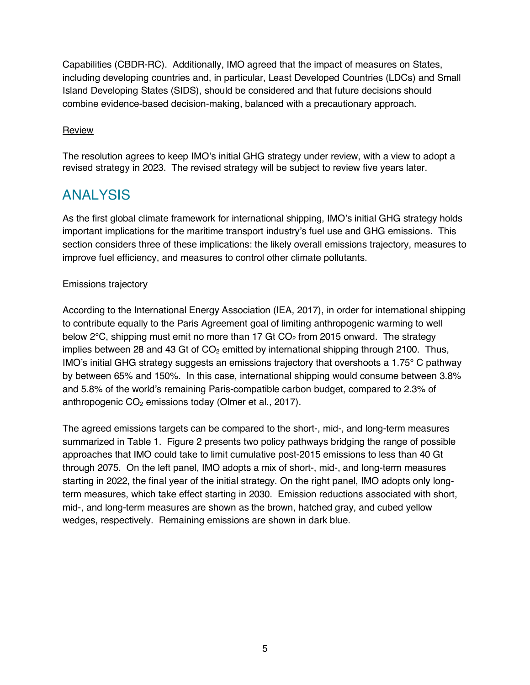Capabilities (CBDR-RC). Additionally, IMO agreed that the impact of measures on States, including developing countries and, in particular, Least Developed Countries (LDCs) and Small Island Developing States (SIDS), should be considered and that future decisions should combine evidence-based decision-making, balanced with a precautionary approach.

#### **Review**

The resolution agrees to keep IMO's initial GHG strategy under review, with a view to adopt a revised strategy in 2023. The revised strategy will be subject to review five years later.

## ANALYSIS

As the first global climate framework for international shipping, IMO's initial GHG strategy holds important implications for the maritime transport industry's fuel use and GHG emissions. This section considers three of these implications: the likely overall emissions trajectory, measures to improve fuel efficiency, and measures to control other climate pollutants.

#### Emissions trajectory

According to the International Energy Association (IEA, 2017), in order for international shipping to contribute equally to the Paris Agreement goal of limiting anthropogenic warming to well below  $2^{\circ}$ C, shipping must emit no more than 17 Gt CO<sub>2</sub> from 2015 onward. The strategy implies between 28 and 43 Gt of  $CO<sub>2</sub>$  emitted by international shipping through 2100. Thus, IMO's initial GHG strategy suggests an emissions trajectory that overshoots a 1.75° C pathway by between 65% and 150%. In this case, international shipping would consume between 3.8% and 5.8% of the world's remaining Paris-compatible carbon budget, compared to 2.3% of anthropogenic  $CO<sub>2</sub>$  emissions today (Olmer et al., 2017).

The agreed emissions targets can be compared to the short-, mid-, and long-term measures summarized in Table 1. Figure 2 presents two policy pathways bridging the range of possible approaches that IMO could take to limit cumulative post-2015 emissions to less than 40 Gt through 2075. On the left panel, IMO adopts a mix of short-, mid-, and long-term measures starting in 2022, the final year of the initial strategy. On the right panel, IMO adopts only longterm measures, which take effect starting in 2030. Emission reductions associated with short, mid-, and long-term measures are shown as the brown, hatched gray, and cubed yellow wedges, respectively. Remaining emissions are shown in dark blue.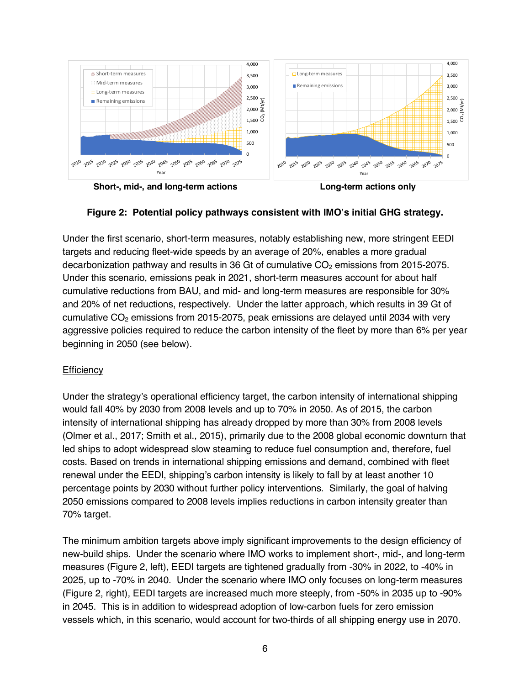

**Short-, mid-, and long-term actions Long-term actions only**

#### **Figure 2: Potential policy pathways consistent with IMO's initial GHG strategy.**

Under the first scenario, short-term measures, notably establishing new, more stringent EEDI targets and reducing fleet-wide speeds by an average of 20%, enables a more gradual decarbonization pathway and results in 36 Gt of cumulative  $CO<sub>2</sub>$  emissions from 2015-2075. Under this scenario, emissions peak in 2021, short-term measures account for about half cumulative reductions from BAU, and mid- and long-term measures are responsible for 30% and 20% of net reductions, respectively. Under the latter approach, which results in 39 Gt of cumulative  $CO<sub>2</sub>$  emissions from 2015-2075, peak emissions are delayed until 2034 with very aggressive policies required to reduce the carbon intensity of the fleet by more than 6% per year beginning in 2050 (see below).

#### **Efficiency**

Under the strategy's operational efficiency target, the carbon intensity of international shipping would fall 40% by 2030 from 2008 levels and up to 70% in 2050. As of 2015, the carbon intensity of international shipping has already dropped by more than 30% from 2008 levels (Olmer et al., 2017; Smith et al., 2015), primarily due to the 2008 global economic downturn that led ships to adopt widespread slow steaming to reduce fuel consumption and, therefore, fuel costs. Based on trends in international shipping emissions and demand, combined with fleet renewal under the EEDI, shipping's carbon intensity is likely to fall by at least another 10 percentage points by 2030 without further policy interventions. Similarly, the goal of halving 2050 emissions compared to 2008 levels implies reductions in carbon intensity greater than 70% target.

The minimum ambition targets above imply significant improvements to the design efficiency of new-build ships. Under the scenario where IMO works to implement short-, mid-, and long-term measures (Figure 2, left), EEDI targets are tightened gradually from -30% in 2022, to -40% in 2025, up to -70% in 2040. Under the scenario where IMO only focuses on long-term measures (Figure 2, right), EEDI targets are increased much more steeply, from -50% in 2035 up to -90% in 2045. This is in addition to widespread adoption of low-carbon fuels for zero emission vessels which, in this scenario, would account for two-thirds of all shipping energy use in 2070.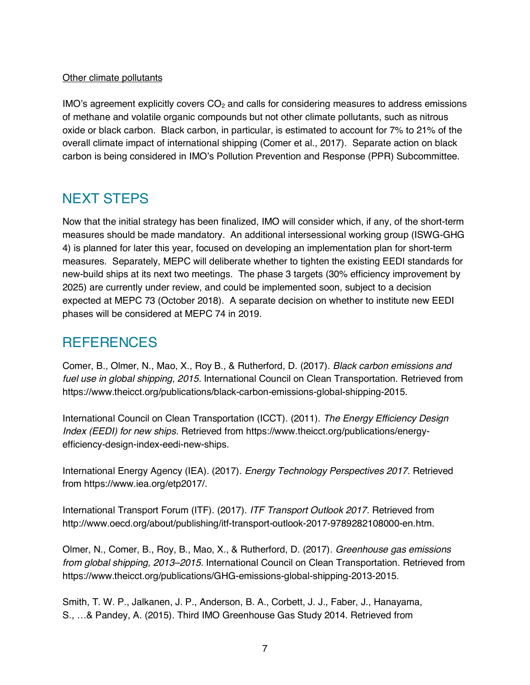#### Other climate pollutants

 $IMO's agreement explicitly covers  $CO<sub>2</sub>$  and calls for considering measures to address emissions$ of methane and volatile organic compounds but not other climate pollutants, such as nitrous oxide or black carbon. Black carbon, in particular, is estimated to account for 7% to 21% of the overall climate impact of international shipping (Comer et al., 2017). Separate action on black carbon is being considered in IMO's Pollution Prevention and Response (PPR) Subcommittee.

## NEXT STEPS

Now that the initial strategy has been finalized, IMO will consider which, if any, of the short-term measures should be made mandatory. An additional intersessional working group (ISWG-GHG 4) is planned for later this year, focused on developing an implementation plan for short-term measures. Separately, MEPC will deliberate whether to tighten the existing EEDI standards for new-build ships at its next two meetings. The phase 3 targets (30% efficiency improvement by 2025) are currently under review, and could be implemented soon, subject to a decision expected at MEPC 73 (October 2018). A separate decision on whether to institute new EEDI phases will be considered at MEPC 74 in 2019.

### **REFERENCES**

Comer, B., Olmer, N., Mao, X., Roy B., & Rutherford, D. (2017). *Black carbon emissions and fuel use in global shipping, 2015*. International Council on Clean Transportation. Retrieved from https://www.theicct.org/publications/black-carbon-emissions-global-shipping-2015.

International Council on Clean Transportation (ICCT). (2011). *The Energy Efficiency Design Index (EEDI) for new ships.* Retrieved from https://www.theicct.org/publications/energyefficiency-design-index-eedi-new-ships.

International Energy Agency (IEA). (2017). *Energy Technology Perspectives 2017*. Retrieved from https://www.iea.org/etp2017/.

International Transport Forum (ITF). (2017). *ITF Transport Outlook 2017*. Retrieved from http://www.oecd.org/about/publishing/itf-transport-outlook-2017-9789282108000-en.htm.

Olmer, N., Comer, B., Roy, B., Mao, X., & Rutherford, D. (2017). *Greenhouse gas emissions from global shipping, 2013–2015.* International Council on Clean Transportation. Retrieved from https://www.theicct.org/publications/GHG-emissions-global-shipping-2013-2015.

Smith, T. W. P., Jalkanen, J. P., Anderson, B. A., Corbett, J. J., Faber, J., Hanayama, S., …& Pandey, A. (2015). Third IMO Greenhouse Gas Study 2014. Retrieved from